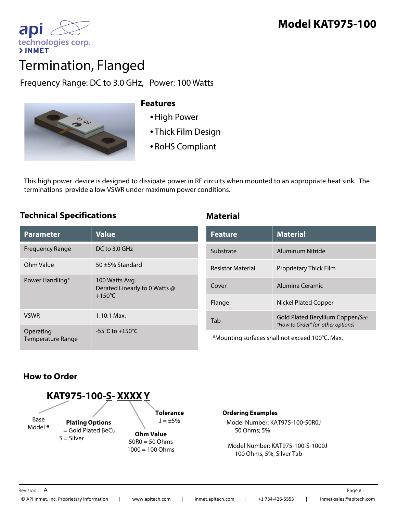

# Termination, Flanged

# Frequency Range: DC to 3.0 GHz, Power: 100 Watts



### **Features**

- •High Power
- Thick Film Design
- RoHS Compliant

This high power device is designed to dissipate power in RF circuits when mounted to an appropriate heat sink. The terminations provide a low VSWR under maximum power conditions.

### **Technical Specifications Material**

| <b>Parameter</b>                      | <b>Value</b>                                                        |
|---------------------------------------|---------------------------------------------------------------------|
| <b>Frequency Range</b>                | DC to 3.0 GHz                                                       |
| Ohm Value                             | 50 $\pm$ 5% Standard                                                |
| Power Handling*                       | 100 Watts Avg.<br>Derated Linearly to 0 Watts @<br>$+150^{\circ}$ C |
| <b>VSWR</b>                           | $1.10:1$ Max.                                                       |
| Operating<br><b>Temperature Range</b> | $-55^{\circ}$ C to $+150^{\circ}$ C                                 |

| <b>Feature</b>           | <b>Material</b>                                                        |
|--------------------------|------------------------------------------------------------------------|
| Substrate                | Aluminum Nitride                                                       |
| <b>Resistor Material</b> | <b>Proprietary Thick Film</b>                                          |
| Cover                    | Alumina Ceramic                                                        |
| Flange                   | Nickel Plated Copper                                                   |
| Tab                      | Gold Plated Beryllium Copper (See<br>"How to Order" for other options) |

\*Mounting surfaces shall not exceed 100°C. Max.

## **How to Order**



### **Ordering Examples**

Model Number: KAT975-100-50R0J 50 Ohms; 5%

Model Number: KAT975-100-S-1000J 100 Ohms; 5%, Silver Tab